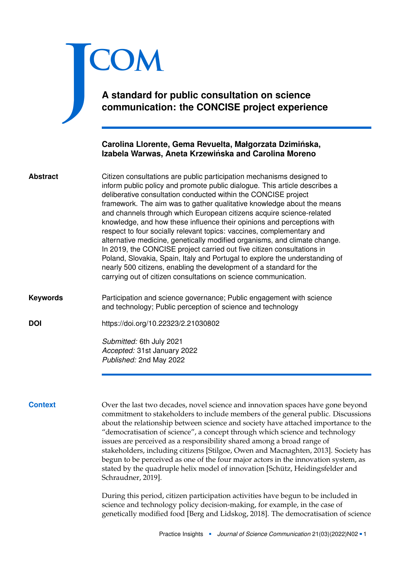# **A standard for public consultation on science communication: the CONCISE project experience**

## **Carolina Llorente, Gema Revuelta, Małgorzata Dziminska, ´ Izabela Warwas, Aneta Krzewinska and Carolina Moreno ´**

| Citizen consultations are public participation mechanisms designed to<br><b>Abstract</b><br>inform public policy and promote public dialogue. This article describes a<br>deliberative consultation conducted within the CONCISE project<br>framework. The aim was to gather qualitative knowledge about the means<br>and channels through which European citizens acquire science-related<br>knowledge, and how these influence their opinions and perceptions with<br>respect to four socially relevant topics: vaccines, complementary and<br>alternative medicine, genetically modified organisms, and climate change.<br>In 2019, the CONCISE project carried out five citizen consultations in<br>Poland, Slovakia, Spain, Italy and Portugal to explore the understanding of<br>nearly 500 citizens, enabling the development of a standard for the<br>carrying out of citizen consultations on science communication. |                                                                                                                                     |
|-------------------------------------------------------------------------------------------------------------------------------------------------------------------------------------------------------------------------------------------------------------------------------------------------------------------------------------------------------------------------------------------------------------------------------------------------------------------------------------------------------------------------------------------------------------------------------------------------------------------------------------------------------------------------------------------------------------------------------------------------------------------------------------------------------------------------------------------------------------------------------------------------------------------------------|-------------------------------------------------------------------------------------------------------------------------------------|
| <b>Keywords</b>                                                                                                                                                                                                                                                                                                                                                                                                                                                                                                                                                                                                                                                                                                                                                                                                                                                                                                               | Participation and science governance; Public engagement with science<br>and technology; Public perception of science and technology |
| <b>DOI</b>                                                                                                                                                                                                                                                                                                                                                                                                                                                                                                                                                                                                                                                                                                                                                                                                                                                                                                                    | https://doi.org/10.22323/2.21030802                                                                                                 |
|                                                                                                                                                                                                                                                                                                                                                                                                                                                                                                                                                                                                                                                                                                                                                                                                                                                                                                                               | Submitted: 6th July 2021<br>Accepted: 31st January 2022                                                                             |
|                                                                                                                                                                                                                                                                                                                                                                                                                                                                                                                                                                                                                                                                                                                                                                                                                                                                                                                               | Published: 2nd May 2022                                                                                                             |
|                                                                                                                                                                                                                                                                                                                                                                                                                                                                                                                                                                                                                                                                                                                                                                                                                                                                                                                               |                                                                                                                                     |

<span id="page-0-0"></span>J

**COM** 

**Context** Over the last two decades, novel science and innovation spaces have gone beyond commitment to stakeholders to include members of the general public. Discussions about the relationship between science and society have attached importance to the "democratisation of science", a concept through which science and technology issues are perceived as a responsibility shared among a broad range of stakeholders, including citizens [Stilgoe, Owen and Macnaghten, [2013\]](#page-22-0). Society has begun to be perceived as one of the four major actors in the innovation system, as stated by the quadruple helix model of innovation [Schütz, Heidingsfelder and Schraudner, [2019\]](#page-22-1).

> During this period, citizen participation activities have begun to be included in science and technology policy decision-making, for example, in the case of genetically modified food [Berg and Lidskog, [2018\]](#page-20-0). The democratisation of science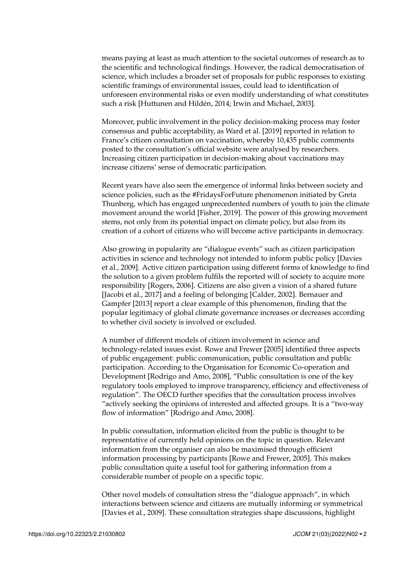means paying at least as much attention to the societal outcomes of research as to the scientific and technological findings. However, the radical democratisation of science, which includes a broader set of proposals for public responses to existing scientific framings of environmental issues, could lead to identification of unforeseen environmental risks or even modify understanding of what constitutes such a risk [Huttunen and Hildén, [2014;](#page-21-0) Irwin and Michael, [2003\]](#page-21-1).

Moreover, public involvement in the policy decision-making process may foster consensus and public acceptability, as Ward et al. [\[2019\]](#page-22-2) reported in relation to France's citizen consultation on vaccination, whereby 10,435 public comments posted to the consultation's official website were analysed by researchers. Increasing citizen participation in decision-making about vaccinations may increase citizens' sense of democratic participation.

Recent years have also seen the emergence of informal links between society and science policies, such as the #FridaysForFuture phenomenon initiated by Greta Thunberg, which has engaged unprecedented numbers of youth to join the climate movement around the world [Fisher, [2019\]](#page-20-1). The power of this growing movement stems, not only from its potential impact on climate policy, but also from its creation of a cohort of citizens who will become active participants in democracy.

Also growing in popularity are "dialogue events" such as citizen participation activities in science and technology not intended to inform public policy [Davies et al., [2009\]](#page-20-2). Active citizen participation using different forms of knowledge to find the solution to a given problem fulfils the reported will of society to acquire more responsibility [Rogers, [2006\]](#page-22-3). Citizens are also given a vision of a shared future [Jacobi et al., [2017\]](#page-21-2) and a feeling of belonging [Calder, [2002\]](#page-20-3). Bernauer and Gampfer [\[2013\]](#page-20-4) report a clear example of this phenomenon, finding that the popular legitimacy of global climate governance increases or decreases according to whether civil society is involved or excluded.

A number of different models of citizen involvement in science and technology-related issues exist. Rowe and Frewer [\[2005\]](#page-22-4) identified three aspects of public engagement: public communication, public consultation and public participation. According to the Organisation for Economic Co-operation and Development [Rodrigo and Amo, [2008\]](#page-22-5), "Public consultation is one of the key regulatory tools employed to improve transparency, efficiency and effectiveness of regulation". The OECD further specifies that the consultation process involves "actively seeking the opinions of interested and affected groups. It is a "two-way flow of information" [Rodrigo and Amo, [2008\]](#page-22-5).

In public consultation, information elicited from the public is thought to be representative of currently held opinions on the topic in question. Relevant information from the organiser can also be maximised through efficient information processing by participants [Rowe and Frewer, [2005\]](#page-22-4). This makes public consultation quite a useful tool for gathering information from a considerable number of people on a specific topic.

Other novel models of consultation stress the "dialogue approach", in which interactions between science and citizens are mutually informing or symmetrical [Davies et al., [2009\]](#page-20-2). These consultation strategies shape discussions, highlight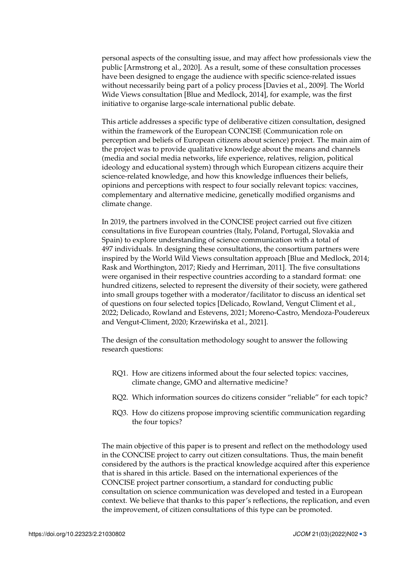personal aspects of the consulting issue, and may affect how professionals view the public [Armstrong et al., [2020\]](#page-20-5). As a result, some of these consultation processes have been designed to engage the audience with specific science-related issues without necessarily being part of a policy process [Davies et al., [2009\]](#page-20-2). The World Wide Views consultation [Blue and Medlock, [2014\]](#page-20-6), for example, was the first initiative to organise large-scale international public debate.

This article addresses a specific type of deliberative citizen consultation, designed within the framework of the European CONCISE (Communication role on perception and beliefs of European citizens about science) project. The main aim of the project was to provide qualitative knowledge about the means and channels (media and social media networks, life experience, relatives, religion, political ideology and educational system) through which European citizens acquire their science-related knowledge, and how this knowledge influences their beliefs, opinions and perceptions with respect to four socially relevant topics: vaccines, complementary and alternative medicine, genetically modified organisms and climate change.

In 2019, the partners involved in the CONCISE project carried out five citizen consultations in five European countries (Italy, Poland, Portugal, Slovakia and Spain) to explore understanding of science communication with a total of 497 individuals. In designing these consultations, the consortium partners were inspired by the World Wild Views consultation approach [Blue and Medlock, [2014;](#page-20-6) Rask and Worthington, [2017;](#page-22-6) Riedy and Herriman, [2011\]](#page-22-7). The five consultations were organised in their respective countries according to a standard format: one hundred citizens, selected to represent the diversity of their society, were gathered into small groups together with a moderator/facilitator to discuss an identical set of questions on four selected topics [Delicado, Rowland, Vengut Climent et al., [2022;](#page-20-7) Delicado, Rowland and Estevens, [2021;](#page-20-8) Moreno-Castro, Mendoza-Poudereux and Vengut-Climent, [2020;](#page-21-3) Krzewińska et al., [2021\]](#page-21-4).

The design of the consultation methodology sought to answer the following research questions:

- RQ1. How are citizens informed about the four selected topics: vaccines, climate change, GMO and alternative medicine?
- RQ2. Which information sources do citizens consider "reliable" for each topic?
- RQ3. How do citizens propose improving scientific communication regarding the four topics?

The main objective of this paper is to present and reflect on the methodology used in the CONCISE project to carry out citizen consultations. Thus, the main benefit considered by the authors is the practical knowledge acquired after this experience that is shared in this article. Based on the international experiences of the CONCISE project partner consortium, a standard for conducting public consultation on science communication was developed and tested in a European context. We believe that thanks to this paper's reflections, the replication, and even the improvement, of citizen consultations of this type can be promoted.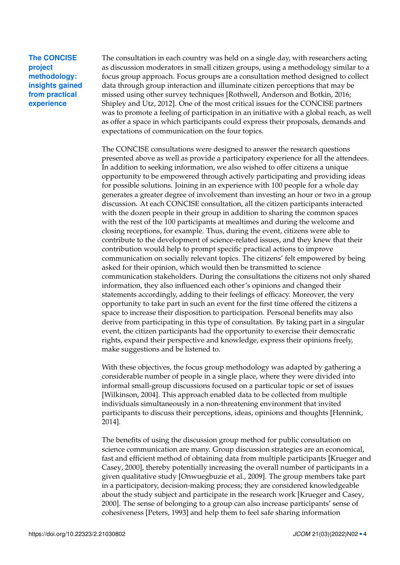### **The CONCISE project methodology: insights gained from practical experience**

The consultation in each country was held on a single day, with researchers acting as discussion moderators in small citizen groups, using a methodology similar to a focus group approach. Focus groups are a consultation method designed to collect data through group interaction and illuminate citizen perceptions that may be missed using other survey techniques [Rothwell, Anderson and Botkin, [2016;](#page-22-8) Shipley and Utz, [2012\]](#page-22-9). One of the most critical issues for the CONCISE partners was to promote a feeling of participation in an initiative with a global reach, as well as offer a space in which participants could express their proposals, demands and expectations of communication on the four topics.

The CONCISE consultations were designed to answer the research questions presented above as well as provide a participatory experience for all the attendees. In addition to seeking information, we also wished to offer citizens a unique opportunity to be empowered through actively participating and providing ideas for possible solutions. Joining in an experience with 100 people for a whole day generates a greater degree of involvement than investing an hour or two in a group discussion. At each CONCISE consultation, all the citizen participants interacted with the dozen people in their group in addition to sharing the common spaces with the rest of the 100 participants at mealtimes and during the welcome and closing receptions, for example. Thus, during the event, citizens were able to contribute to the development of science-related issues, and they knew that their contribution would help to prompt specific practical actions to improve communication on socially relevant topics. The citizens' felt empowered by being asked for their opinion, which would then be transmitted to science communication stakeholders. During the consultations the citizens not only shared information, they also influenced each other's opinions and changed their statements accordingly, adding to their feelings of efficacy. Moreover, the very opportunity to take part in such an event for the first time offered the citizens a space to increase their disposition to participation. Personal benefits may also derive from participating in this type of consultation. By taking part in a singular event, the citizen participants had the opportunity to exercise their democratic rights, expand their perspective and knowledge, express their opinions freely, make suggestions and be listened to.

With these objectives, the focus group methodology was adapted by gathering a considerable number of people in a single place, where they were divided into informal small-group discussions focused on a particular topic or set of issues [Wilkinson, [2004\]](#page-22-10). This approach enabled data to be collected from multiple individuals simultaneously in a non-threatening environment that invited participants to discuss their perceptions, ideas, opinions and thoughts [Hennink, [2014\]](#page-21-5).

The benefits of using the discussion group method for public consultation on science communication are many. Group discussion strategies are an economical, fast and efficient method of obtaining data from multiple participants [Krueger and Casey, [2000\]](#page-21-6), thereby potentially increasing the overall number of participants in a given qualitative study [Onwuegbuzie et al., [2009\]](#page-21-7). The group members take part in a participatory, decision-making process; they are considered knowledgeable about the study subject and participate in the research work [Krueger and Casey, [2000\]](#page-21-6). The sense of belonging to a group can also increase participants' sense of cohesiveness [Peters, [1993\]](#page-22-11) and help them to feel safe sharing information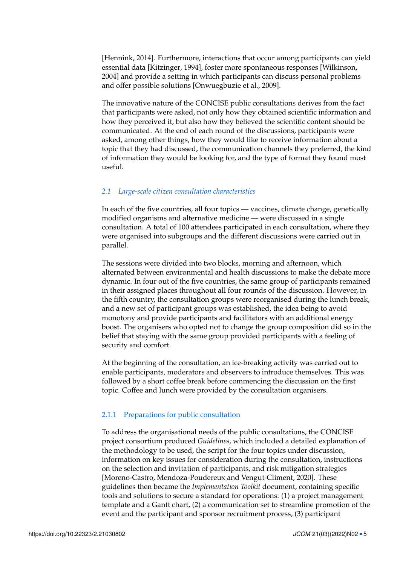[Hennink, [2014\]](#page-21-5). Furthermore, interactions that occur among participants can yield essential data [Kitzinger, [1994\]](#page-21-8), foster more spontaneous responses [Wilkinson, [2004\]](#page-22-10) and provide a setting in which participants can discuss personal problems and offer possible solutions [Onwuegbuzie et al., [2009\]](#page-21-7).

The innovative nature of the CONCISE public consultations derives from the fact that participants were asked, not only how they obtained scientific information and how they perceived it, but also how they believed the scientific content should be communicated. At the end of each round of the discussions, participants were asked, among other things, how they would like to receive information about a topic that they had discussed, the communication channels they preferred, the kind of information they would be looking for, and the type of format they found most useful.

#### *2.1 Large-scale citizen consultation characteristics*

In each of the five countries, all four topics — vaccines, climate change, genetically modified organisms and alternative medicine — were discussed in a single consultation. A total of 100 attendees participated in each consultation, where they were organised into subgroups and the different discussions were carried out in parallel.

The sessions were divided into two blocks, morning and afternoon, which alternated between environmental and health discussions to make the debate more dynamic. In four out of the five countries, the same group of participants remained in their assigned places throughout all four rounds of the discussion. However, in the fifth country, the consultation groups were reorganised during the lunch break, and a new set of participant groups was established, the idea being to avoid monotony and provide participants and facilitators with an additional energy boost. The organisers who opted not to change the group composition did so in the belief that staying with the same group provided participants with a feeling of security and comfort.

At the beginning of the consultation, an ice-breaking activity was carried out to enable participants, moderators and observers to introduce themselves. This was followed by a short coffee break before commencing the discussion on the first topic. Coffee and lunch were provided by the consultation organisers.

#### 2.1.1 Preparations for public consultation

To address the organisational needs of the public consultations, the CONCISE project consortium produced *Guidelines*, which included a detailed explanation of the methodology to be used, the script for the four topics under discussion, information on key issues for consideration during the consultation, instructions on the selection and invitation of participants, and risk mitigation strategies [Moreno-Castro, Mendoza-Poudereux and Vengut-Climent, [2020\]](#page-21-3). These guidelines then became the *Implementation Toolkit* document, containing specific tools and solutions to secure a standard for operations: (1) a project management template and a Gantt chart, (2) a communication set to streamline promotion of the event and the participant and sponsor recruitment process, (3) participant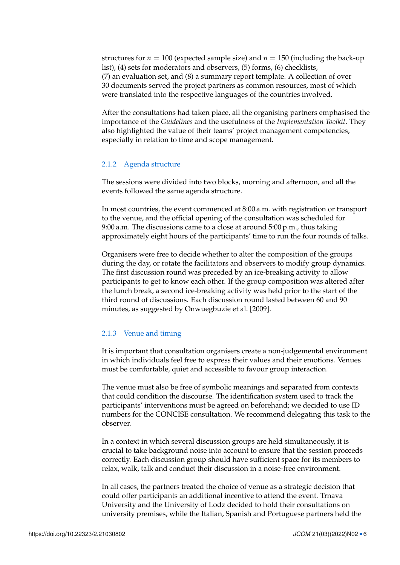structures for  $n = 100$  (expected sample size) and  $n = 150$  (including the back-up list), (4) sets for moderators and observers, (5) forms, (6) checklists, (7) an evaluation set, and (8) a summary report template. A collection of over 30 documents served the project partners as common resources, most of which were translated into the respective languages of the countries involved.

After the consultations had taken place, all the organising partners emphasised the importance of the *Guidelines* and the usefulness of the *Implementation Toolkit*. They also highlighted the value of their teams' project management competencies, especially in relation to time and scope management.

#### 2.1.2 Agenda structure

The sessions were divided into two blocks, morning and afternoon, and all the events followed the same agenda structure.

In most countries, the event commenced at 8:00 a.m. with registration or transport to the venue, and the official opening of the consultation was scheduled for 9:00 a.m. The discussions came to a close at around 5:00 p.m., thus taking approximately eight hours of the participants' time to run the four rounds of talks.

Organisers were free to decide whether to alter the composition of the groups during the day, or rotate the facilitators and observers to modify group dynamics. The first discussion round was preceded by an ice-breaking activity to allow participants to get to know each other. If the group composition was altered after the lunch break, a second ice-breaking activity was held prior to the start of the third round of discussions. Each discussion round lasted between 60 and 90 minutes, as suggested by Onwuegbuzie et al. [\[2009\]](#page-21-7).

#### 2.1.3 Venue and timing

It is important that consultation organisers create a non-judgemental environment in which individuals feel free to express their values and their emotions. Venues must be comfortable, quiet and accessible to favour group interaction.

The venue must also be free of symbolic meanings and separated from contexts that could condition the discourse. The identification system used to track the participants' interventions must be agreed on beforehand; we decided to use ID numbers for the CONCISE consultation. We recommend delegating this task to the observer.

In a context in which several discussion groups are held simultaneously, it is crucial to take background noise into account to ensure that the session proceeds correctly. Each discussion group should have sufficient space for its members to relax, walk, talk and conduct their discussion in a noise-free environment.

In all cases, the partners treated the choice of venue as a strategic decision that could offer participants an additional incentive to attend the event. Trnava University and the University of Lodz decided to hold their consultations on university premises, while the Italian, Spanish and Portuguese partners held the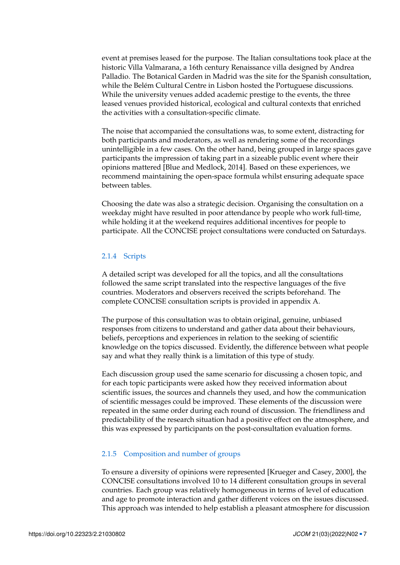event at premises leased for the purpose. The Italian consultations took place at the historic Villa Valmarana, a 16th century Renaissance villa designed by Andrea Palladio. The Botanical Garden in Madrid was the site for the Spanish consultation, while the Belém Cultural Centre in Lisbon hosted the Portuguese discussions. While the university venues added academic prestige to the events, the three leased venues provided historical, ecological and cultural contexts that enriched the activities with a consultation-specific climate.

The noise that accompanied the consultations was, to some extent, distracting for both participants and moderators, as well as rendering some of the recordings unintelligible in a few cases. On the other hand, being grouped in large spaces gave participants the impression of taking part in a sizeable public event where their opinions mattered [Blue and Medlock, [2014\]](#page-20-6). Based on these experiences, we recommend maintaining the open-space formula whilst ensuring adequate space between tables.

Choosing the date was also a strategic decision. Organising the consultation on a weekday might have resulted in poor attendance by people who work full-time, while holding it at the weekend requires additional incentives for people to participate. All the CONCISE project consultations were conducted on Saturdays.

#### 2.1.4 Scripts

A detailed script was developed for all the topics, and all the consultations followed the same script translated into the respective languages of the five countries. Moderators and observers received the scripts beforehand. The complete CONCISE consultation scripts is provided in appendix [A.](#page-15-0)

The purpose of this consultation was to obtain original, genuine, unbiased responses from citizens to understand and gather data about their behaviours, beliefs, perceptions and experiences in relation to the seeking of scientific knowledge on the topics discussed. Evidently, the difference between what people say and what they really think is a limitation of this type of study.

Each discussion group used the same scenario for discussing a chosen topic, and for each topic participants were asked how they received information about scientific issues, the sources and channels they used, and how the communication of scientific messages could be improved. These elements of the discussion were repeated in the same order during each round of discussion. The friendliness and predictability of the research situation had a positive effect on the atmosphere, and this was expressed by participants on the post-consultation evaluation forms.

#### 2.1.5 Composition and number of groups

To ensure a diversity of opinions were represented [Krueger and Casey, [2000\]](#page-21-6), the CONCISE consultations involved 10 to 14 different consultation groups in several countries. Each group was relatively homogeneous in terms of level of education and age to promote interaction and gather different voices on the issues discussed. This approach was intended to help establish a pleasant atmosphere for discussion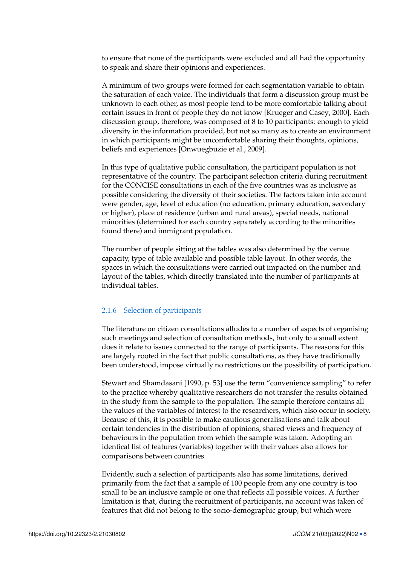to ensure that none of the participants were excluded and all had the opportunity to speak and share their opinions and experiences.

A minimum of two groups were formed for each segmentation variable to obtain the saturation of each voice. The individuals that form a discussion group must be unknown to each other, as most people tend to be more comfortable talking about certain issues in front of people they do not know [Krueger and Casey, [2000\]](#page-21-6). Each discussion group, therefore, was composed of 8 to 10 participants: enough to yield diversity in the information provided, but not so many as to create an environment in which participants might be uncomfortable sharing their thoughts, opinions, beliefs and experiences [Onwuegbuzie et al., [2009\]](#page-21-7).

In this type of qualitative public consultation, the participant population is not representative of the country. The participant selection criteria during recruitment for the CONCISE consultations in each of the five countries was as inclusive as possible considering the diversity of their societies. The factors taken into account were gender, age, level of education (no education, primary education, secondary or higher), place of residence (urban and rural areas), special needs, national minorities (determined for each country separately according to the minorities found there) and immigrant population.

The number of people sitting at the tables was also determined by the venue capacity, type of table available and possible table layout. In other words, the spaces in which the consultations were carried out impacted on the number and layout of the tables, which directly translated into the number of participants at individual tables.

#### 2.1.6 Selection of participants

The literature on citizen consultations alludes to a number of aspects of organising such meetings and selection of consultation methods, but only to a small extent does it relate to issues connected to the range of participants. The reasons for this are largely rooted in the fact that public consultations, as they have traditionally been understood, impose virtually no restrictions on the possibility of participation.

Stewart and Shamdasani [\[1990,](#page-22-12) p. 53] use the term "convenience sampling" to refer to the practice whereby qualitative researchers do not transfer the results obtained in the study from the sample to the population. The sample therefore contains all the values of the variables of interest to the researchers, which also occur in society. Because of this, it is possible to make cautious generalisations and talk about certain tendencies in the distribution of opinions, shared views and frequency of behaviours in the population from which the sample was taken. Adopting an identical list of features (variables) together with their values also allows for comparisons between countries.

Evidently, such a selection of participants also has some limitations, derived primarily from the fact that a sample of 100 people from any one country is too small to be an inclusive sample or one that reflects all possible voices. A further limitation is that, during the recruitment of participants, no account was taken of features that did not belong to the socio-demographic group, but which were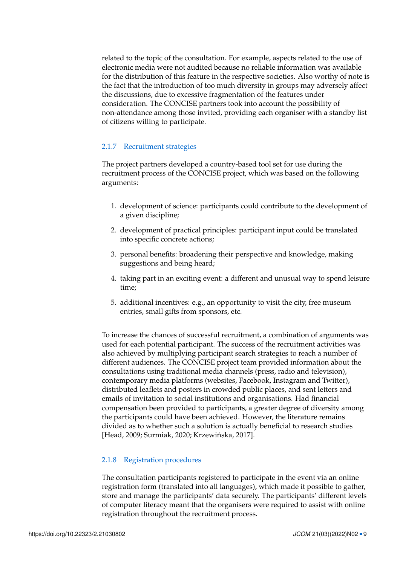related to the topic of the consultation. For example, aspects related to the use of electronic media were not audited because no reliable information was available for the distribution of this feature in the respective societies. Also worthy of note is the fact that the introduction of too much diversity in groups may adversely affect the discussions, due to excessive fragmentation of the features under consideration. The CONCISE partners took into account the possibility of non-attendance among those invited, providing each organiser with a standby list of citizens willing to participate.

#### 2.1.7 Recruitment strategies

The project partners developed a country-based tool set for use during the recruitment process of the CONCISE project, which was based on the following arguments:

- 1. development of science: participants could contribute to the development of a given discipline;
- 2. development of practical principles: participant input could be translated into specific concrete actions;
- 3. personal benefits: broadening their perspective and knowledge, making suggestions and being heard;
- 4. taking part in an exciting event: a different and unusual way to spend leisure time;
- 5. additional incentives: e.g., an opportunity to visit the city, free museum entries, small gifts from sponsors, etc.

To increase the chances of successful recruitment, a combination of arguments was used for each potential participant. The success of the recruitment activities was also achieved by multiplying participant search strategies to reach a number of different audiences. The CONCISE project team provided information about the consultations using traditional media channels (press, radio and television), contemporary media platforms (websites, Facebook, Instagram and Twitter), distributed leaflets and posters in crowded public places, and sent letters and emails of invitation to social institutions and organisations. Had financial compensation been provided to participants, a greater degree of diversity among the participants could have been achieved. However, the literature remains divided as to whether such a solution is actually beneficial to research studies [Head, [2009;](#page-21-9) Surmiak, [2020;](#page-22-13) Krzewińska, [2017\]](#page-21-10).

#### 2.1.8 Registration procedures

The consultation participants registered to participate in the event via an online registration form (translated into all languages), which made it possible to gather, store and manage the participants' data securely. The participants' different levels of computer literacy meant that the organisers were required to assist with online registration throughout the recruitment process.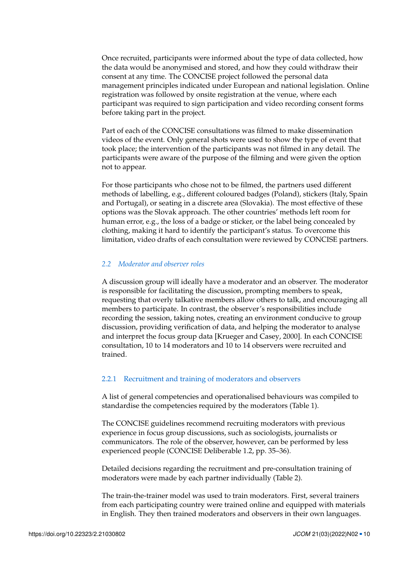Once recruited, participants were informed about the type of data collected, how the data would be anonymised and stored, and how they could withdraw their consent at any time. The CONCISE project followed the personal data management principles indicated under European and national legislation. Online registration was followed by onsite registration at the venue, where each participant was required to sign participation and video recording consent forms before taking part in the project.

Part of each of the CONCISE consultations was filmed to make dissemination videos of the event. Only general shots were used to show the type of event that took place; the intervention of the participants was not filmed in any detail. The participants were aware of the purpose of the filming and were given the option not to appear.

For those participants who chose not to be filmed, the partners used different methods of labelling, e.g., different coloured badges (Poland), stickers (Italy, Spain and Portugal), or seating in a discrete area (Slovakia). The most effective of these options was the Slovak approach. The other countries' methods left room for human error, e.g., the loss of a badge or sticker, or the label being concealed by clothing, making it hard to identify the participant's status. To overcome this limitation, video drafts of each consultation were reviewed by CONCISE partners.

#### *2.2 Moderator and observer roles*

A discussion group will ideally have a moderator and an observer. The moderator is responsible for facilitating the discussion, prompting members to speak, requesting that overly talkative members allow others to talk, and encouraging all members to participate. In contrast, the observer's responsibilities include recording the session, taking notes, creating an environment conducive to group discussion, providing verification of data, and helping the moderator to analyse and interpret the focus group data [Krueger and Casey, [2000\]](#page-21-6). In each CONCISE consultation, 10 to 14 moderators and 10 to 14 observers were recruited and trained.

#### 2.2.1 Recruitment and training of moderators and observers

A list of general competencies and operationalised behaviours was compiled to standardise the competencies required by the moderators (Table [1\)](#page-10-0).

The CONCISE guidelines recommend recruiting moderators with previous experience in focus group discussions, such as sociologists, journalists or communicators. The role of the observer, however, can be performed by less experienced people (CONCISE Deliberable 1.2, pp. 35–36).

Detailed decisions regarding the recruitment and pre-consultation training of moderators were made by each partner individually (Table [2\)](#page-11-0).

The train-the-trainer model was used to train moderators. First, several trainers from each participating country were trained online and equipped with materials in English. They then trained moderators and observers in their own languages.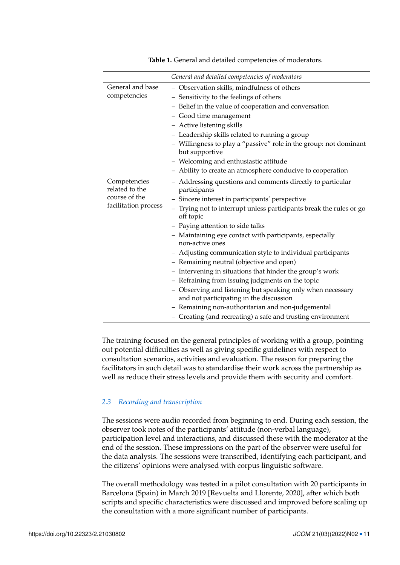<span id="page-10-0"></span>

|                      | General and detailed competencies of moderators                                                       |
|----------------------|-------------------------------------------------------------------------------------------------------|
| General and base     | - Observation skills, mindfulness of others                                                           |
| competencies         | - Sensitivity to the feelings of others                                                               |
|                      | - Belief in the value of cooperation and conversation                                                 |
|                      | - Good time management                                                                                |
|                      | - Active listening skills                                                                             |
|                      | - Leadership skills related to running a group                                                        |
|                      | - Willingness to play a "passive" role in the group: not dominant<br>but supportive                   |
|                      | - Welcoming and enthusiastic attitude                                                                 |
|                      | - Ability to create an atmosphere conducive to cooperation                                            |
| Competencies         | - Addressing questions and comments directly to particular                                            |
| related to the       | participants                                                                                          |
| course of the        | - Sincere interest in participants' perspective                                                       |
| facilitation process | - Trying not to interrupt unless participants break the rules or go<br>off topic                      |
|                      | - Paying attention to side talks                                                                      |
|                      | - Maintaining eye contact with participants, especially<br>non-active ones                            |
|                      | - Adjusting communication style to individual participants                                            |
|                      | - Remaining neutral (objective and open)                                                              |
|                      | - Intervening in situations that hinder the group's work                                              |
|                      | - Refraining from issuing judgments on the topic                                                      |
|                      | - Observing and listening but speaking only when necessary<br>and not participating in the discussion |
|                      | - Remaining non-authoritarian and non-judgemental                                                     |
|                      | - Creating (and recreating) a safe and trusting environment                                           |

**Table 1.** General and detailed competencies of moderators.

The training focused on the general principles of working with a group, pointing out potential difficulties as well as giving specific guidelines with respect to consultation scenarios, activities and evaluation. The reason for preparing the facilitators in such detail was to standardise their work across the partnership as well as reduce their stress levels and provide them with security and comfort.

#### *2.3 Recording and transcription*

The sessions were audio recorded from beginning to end. During each session, the observer took notes of the participants' attitude (non-verbal language), participation level and interactions, and discussed these with the moderator at the end of the session. These impressions on the part of the observer were useful for the data analysis. The sessions were transcribed, identifying each participant, and the citizens' opinions were analysed with corpus linguistic software.

The overall methodology was tested in a pilot consultation with 20 participants in Barcelona (Spain) in March 2019 [Revuelta and Llorente, [2020\]](#page-22-14), after which both scripts and specific characteristics were discussed and improved before scaling up the consultation with a more significant number of participants.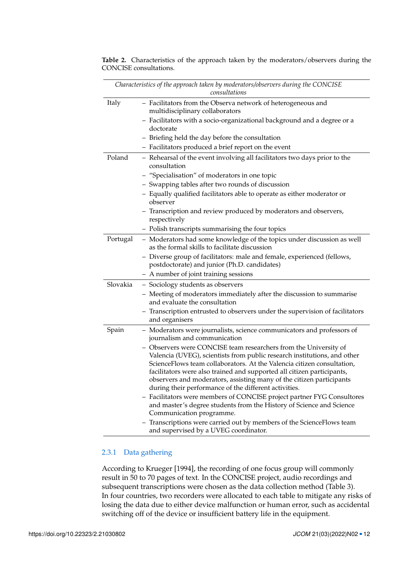|          | Characteristics of the approach taken by moderators/observers during the CONCISE<br>consultations                                                                                                                                                                                                                                                                                                                                 |
|----------|-----------------------------------------------------------------------------------------------------------------------------------------------------------------------------------------------------------------------------------------------------------------------------------------------------------------------------------------------------------------------------------------------------------------------------------|
| Italy    | - Facilitators from the Observa network of heterogeneous and<br>multidisciplinary collaborators                                                                                                                                                                                                                                                                                                                                   |
|          | - Facilitators with a socio-organizational background and a degree or a<br>doctorate                                                                                                                                                                                                                                                                                                                                              |
|          | - Briefing held the day before the consultation                                                                                                                                                                                                                                                                                                                                                                                   |
|          | - Facilitators produced a brief report on the event                                                                                                                                                                                                                                                                                                                                                                               |
| Poland   | - Rehearsal of the event involving all facilitators two days prior to the<br>consultation                                                                                                                                                                                                                                                                                                                                         |
|          | - "Specialisation" of moderators in one topic                                                                                                                                                                                                                                                                                                                                                                                     |
|          | - Swapping tables after two rounds of discussion                                                                                                                                                                                                                                                                                                                                                                                  |
|          | - Equally qualified facilitators able to operate as either moderator or<br>observer                                                                                                                                                                                                                                                                                                                                               |
|          | - Transcription and review produced by moderators and observers,<br>respectively                                                                                                                                                                                                                                                                                                                                                  |
|          | - Polish transcripts summarising the four topics                                                                                                                                                                                                                                                                                                                                                                                  |
| Portugal | - Moderators had some knowledge of the topics under discussion as well<br>as the formal skills to facilitate discussion                                                                                                                                                                                                                                                                                                           |
|          | - Diverse group of facilitators: male and female, experienced (fellows,<br>postdoctorate) and junior (Ph.D. candidates)                                                                                                                                                                                                                                                                                                           |
|          | - A number of joint training sessions                                                                                                                                                                                                                                                                                                                                                                                             |
| Slovakia | - Sociology students as observers                                                                                                                                                                                                                                                                                                                                                                                                 |
|          | - Meeting of moderators immediately after the discussion to summarise<br>and evaluate the consultation                                                                                                                                                                                                                                                                                                                            |
|          | - Transcription entrusted to observers under the supervision of facilitators<br>and organisers                                                                                                                                                                                                                                                                                                                                    |
| Spain    | - Moderators were journalists, science communicators and professors of<br>journalism and communication                                                                                                                                                                                                                                                                                                                            |
|          | - Observers were CONCISE team researchers from the University of<br>Valencia (UVEG), scientists from public research institutions, and other<br>ScienceFlows team collaborators. At the Valencia citizen consultation,<br>facilitators were also trained and supported all citizen participants,<br>observers and moderators, assisting many of the citizen participants<br>during their performance of the different activities. |
|          | - Facilitators were members of CONCISE project partner FYG Consultores<br>and master's degree students from the History of Science and Science<br>Communication programme.                                                                                                                                                                                                                                                        |
|          | Transcriptions were carried out by members of the ScienceFlows team<br>$\qquad \qquad -$<br>and supervised by a UVEG coordinator.                                                                                                                                                                                                                                                                                                 |

<span id="page-11-0"></span>**Table 2.** Characteristics of the approach taken by the moderators/observers during the CONCISE consultations.

#### 2.3.1 Data gathering

According to Krueger [\[1994\]](#page-21-11), the recording of one focus group will commonly result in 50 to 70 pages of text. In the CONCISE project, audio recordings and subsequent transcriptions were chosen as the data collection method (Table [3\)](#page-12-0). In four countries, two recorders were allocated to each table to mitigate any risks of losing the data due to either device malfunction or human error, such as accidental switching off of the device or insufficient battery life in the equipment.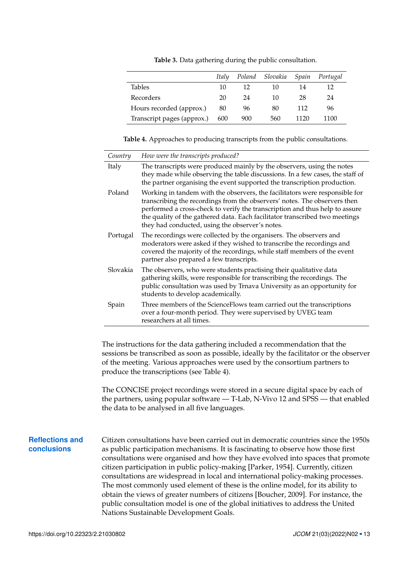**Table 3.** Data gathering during the public consultation.

<span id="page-12-0"></span>

|                            | Italy |     | Poland Slovakia | Spain | Portugal |
|----------------------------|-------|-----|-----------------|-------|----------|
| <b>Tables</b>              | 10    | 12  | 10              | 14    | 12       |
| Recorders                  | 20    | 24  | 10              | 28    | 24       |
| Hours recorded (approx.)   | 80    | 96  | 80              | 112   | 96       |
| Transcript pages (approx.) | 600   | 900 | 560             | 1120  | 1100     |

<span id="page-12-1"></span>**Table 4.** Approaches to producing transcripts from the public consultations.

| Country  | How were the transcripts produced?                                                                                                                                                                                                                                                                                                                                        |
|----------|---------------------------------------------------------------------------------------------------------------------------------------------------------------------------------------------------------------------------------------------------------------------------------------------------------------------------------------------------------------------------|
| Italy    | The transcripts were produced mainly by the observers, using the notes<br>they made while observing the table discussions. In a few cases, the staff of<br>the partner organising the event supported the transcription production.                                                                                                                                       |
| Poland   | Working in tandem with the observers, the facilitators were responsible for<br>transcribing the recordings from the observers' notes. The observers then<br>performed a cross-check to verify the transcription and thus help to assure<br>the quality of the gathered data. Each facilitator transcribed two meetings<br>they had conducted, using the observer's notes. |
| Portugal | The recordings were collected by the organisers. The observers and<br>moderators were asked if they wished to transcribe the recordings and<br>covered the majority of the recordings, while staff members of the event<br>partner also prepared a few transcripts.                                                                                                       |
| Slovakia | The observers, who were students practising their qualitative data<br>gathering skills, were responsible for transcribing the recordings. The<br>public consultation was used by Trnava University as an opportunity for<br>students to develop academically.                                                                                                             |
| Spain    | Three members of the ScienceFlows team carried out the transcriptions<br>over a four-month period. They were supervised by UVEG team<br>researchers at all times.                                                                                                                                                                                                         |

The instructions for the data gathering included a recommendation that the sessions be transcribed as soon as possible, ideally by the facilitator or the observer of the meeting. Various approaches were used by the consortium partners to produce the transcriptions (see Table [4\)](#page-12-1).

The CONCISE project recordings were stored in a secure digital space by each of the partners, using popular software — T-Lab, N-Vivo 12 and SPSS — that enabled the data to be analysed in all five languages.

#### **Reflections and conclusions**

Citizen consultations have been carried out in democratic countries since the 1950s as public participation mechanisms. It is fascinating to observe how those first consultations were organised and how they have evolved into spaces that promote citizen participation in public policy-making [Parker, [1954\]](#page-21-12). Currently, citizen consultations are widespread in local and international policy-making processes. The most commonly used element of these is the online model, for its ability to obtain the views of greater numbers of citizens [Boucher, [2009\]](#page-20-9). For instance, the public consultation model is one of the global initiatives to address the United Nations Sustainable Development Goals.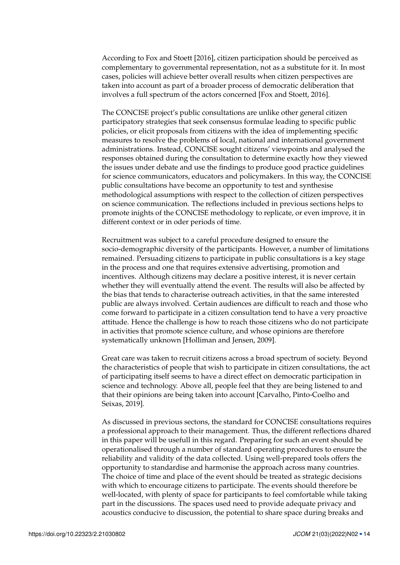According to Fox and Stoett [\[2016\]](#page-21-13), citizen participation should be perceived as complementary to governmental representation, not as a substitute for it. In most cases, policies will achieve better overall results when citizen perspectives are taken into account as part of a broader process of democratic deliberation that involves a full spectrum of the actors concerned [Fox and Stoett, [2016\]](#page-21-13).

The CONCISE project's public consultations are unlike other general citizen participatory strategies that seek consensus formulae leading to specific public policies, or elicit proposals from citizens with the idea of implementing specific measures to resolve the problems of local, national and international government administrations. Instead, CONCISE sought citizens' viewpoints and analysed the responses obtained during the consultation to determine exactly how they viewed the issues under debate and use the findings to produce good practice guidelines for science communicators, educators and policymakers. In this way, the CONCISE public consultations have become an opportunity to test and synthesise methodological assumptions with respect to the collection of citizen perspectives on science communication. The reflections included in previous sections helps to promote inights of the CONCISE methodology to replicate, or even improve, it in different context or in oder periods of time.

Recruitment was subject to a careful procedure designed to ensure the socio-demographic diversity of the participants. However, a number of limitations remained. Persuading citizens to participate in public consultations is a key stage in the process and one that requires extensive advertising, promotion and incentives. Although citizens may declare a positive interest, it is never certain whether they will eventually attend the event. The results will also be affected by the bias that tends to characterise outreach activities, in that the same interested public are always involved. Certain audiences are difficult to reach and those who come forward to participate in a citizen consultation tend to have a very proactive attitude. Hence the challenge is how to reach those citizens who do not participate in activities that promote science culture, and whose opinions are therefore systematically unknown [Holliman and Jensen, [2009\]](#page-21-14).

Great care was taken to recruit citizens across a broad spectrum of society. Beyond the characteristics of people that wish to participate in citizen consultations, the act of participating itself seems to have a direct effect on democratic participation in science and technology. Above all, people feel that they are being listened to and that their opinions are being taken into account [Carvalho, Pinto-Coelho and Seixas, [2019\]](#page-20-10).

As discussed in previous sectons, the standard for CONCISE consultations requires a professional approach to their management. Thus, the different reflections dhared in this paper will be usefull in this regard. Preparing for such an event should be operationalised through a number of standard operating procedures to ensure the reliability and validity of the data collected. Using well-prepared tools offers the opportunity to standardise and harmonise the approach across many countries. The choice of time and place of the event should be treated as strategic decisions with which to encourage citizens to participate. The events should therefore be well-located, with plenty of space for participants to feel comfortable while taking part in the discussions. The spaces used need to provide adequate privacy and acoustics conducive to discussion, the potential to share space during breaks and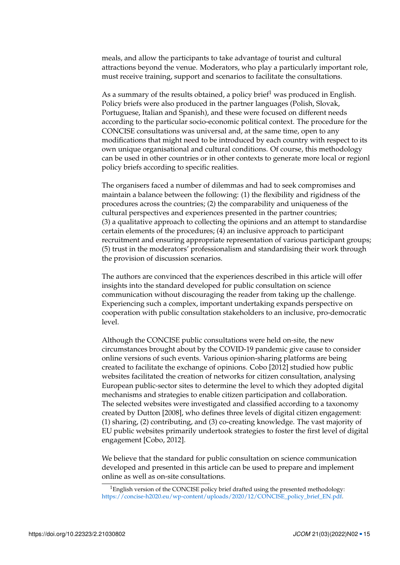meals, and allow the participants to take advantage of tourist and cultural attractions beyond the venue. Moderators, who play a particularly important role, must receive training, support and scenarios to facilitate the consultations.

As a summary of the results obtained, a policy brief<sup>[1](#page-0-0)</sup> was produced in English. Policy briefs were also produced in the partner languages (Polish, Slovak, Portuguese, Italian and Spanish), and these were focused on different needs according to the particular socio-economic political context. The procedure for the CONCISE consultations was universal and, at the same time, open to any modifications that might need to be introduced by each country with respect to its own unique organisational and cultural conditions. Of course, this methodology can be used in other countries or in other contexts to generate more local or regionl policy briefs according to specific realities.

The organisers faced a number of dilemmas and had to seek compromises and maintain a balance between the following: (1) the flexibility and rigidness of the procedures across the countries; (2) the comparability and uniqueness of the cultural perspectives and experiences presented in the partner countries; (3) a qualitative approach to collecting the opinions and an attempt to standardise certain elements of the procedures; (4) an inclusive approach to participant recruitment and ensuring appropriate representation of various participant groups; (5) trust in the moderators' professionalism and standardising their work through the provision of discussion scenarios.

The authors are convinced that the experiences described in this article will offer insights into the standard developed for public consultation on science communication without discouraging the reader from taking up the challenge. Experiencing such a complex, important undertaking expands perspective on cooperation with public consultation stakeholders to an inclusive, pro-democratic level.

Although the CONCISE public consultations were held on-site, the new circumstances brought about by the COVID-19 pandemic give cause to consider online versions of such events. Various opinion-sharing platforms are being created to facilitate the exchange of opinions. Cobo [\[2012\]](#page-20-11) studied how public websites facilitated the creation of networks for citizen consultation, analysing European public-sector sites to determine the level to which they adopted digital mechanisms and strategies to enable citizen participation and collaboration. The selected websites were investigated and classified according to a taxonomy created by Dutton [\[2008\]](#page-20-12), who defines three levels of digital citizen engagement: (1) sharing, (2) contributing, and (3) co-creating knowledge. The vast majority of EU public websites primarily undertook strategies to foster the first level of digital engagement [Cobo, [2012\]](#page-20-11).

We believe that the standard for public consultation on science communication developed and presented in this article can be used to prepare and implement online as well as on-site consultations.

<sup>&</sup>lt;sup>1</sup>English version of the CONCISE policy brief drafted using the presented methodology: [https://concise-h2020.eu/wp-content/uploads/2020/12/CONCISE\\_policy\\_brief\\_EN.pdf.](https://concise-h2020.eu/wp-content/uploads/2020/12/CONCISE_policy_brief_EN.pdf)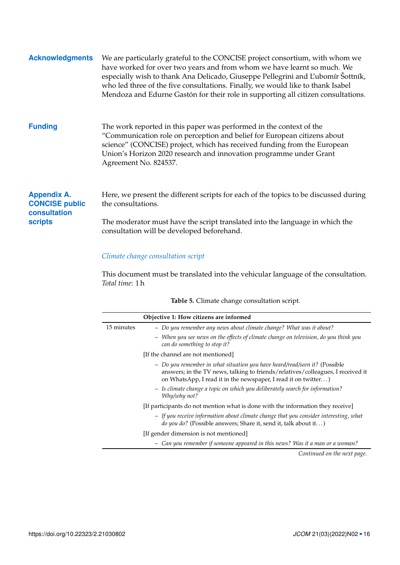| <b>Acknowledgments</b>                                      | We are particularly grateful to the CONCISE project consortium, with whom we<br>have worked for over two years and from whom we have learnt so much. We<br>especially wish to thank Ana Delicado, Giuseppe Pellegrini and L'ubomír Šottník,<br>who led three of the five consultations. Finally, we would like to thank Isabel<br>Mendoza and Edurne Gastón for their role in supporting all citizen consultations. |
|-------------------------------------------------------------|---------------------------------------------------------------------------------------------------------------------------------------------------------------------------------------------------------------------------------------------------------------------------------------------------------------------------------------------------------------------------------------------------------------------|
| <b>Funding</b>                                              | The work reported in this paper was performed in the context of the<br>"Communication role on perception and belief for European citizens about<br>science" (CONCISE) project, which has received funding from the European<br>Union's Horizon 2020 research and innovation programme under Grant<br>Agreement No. 824537.                                                                                          |
| <b>Appendix A.</b><br><b>CONCISE public</b><br>consultation | Here, we present the different scripts for each of the topics to be discussed during<br>the consultations.                                                                                                                                                                                                                                                                                                          |
| <b>scripts</b>                                              | The moderator must have the script translated into the language in which the<br>consultation will be developed beforehand.                                                                                                                                                                                                                                                                                          |

# <span id="page-15-0"></span>*Climate change consultation script*

This document must be translated into the vehicular language of the consultation. *Total time*: 1 h

|  |  |  | Table 5. Climate change consultation script. |  |
|--|--|--|----------------------------------------------|--|
|--|--|--|----------------------------------------------|--|

|            | Objective 1: How citizens are informed                                                                                                                                                                                          |
|------------|---------------------------------------------------------------------------------------------------------------------------------------------------------------------------------------------------------------------------------|
| 15 minutes | - Do you remember any news about climate change? What was it about?                                                                                                                                                             |
|            | - When you see news on the effects of climate change on television, do you think you<br>can do something to stop it?                                                                                                            |
|            | [If the channel are not mentioned]                                                                                                                                                                                              |
|            | - Do you remember in what situation you have heard/read/seen it? (Possible<br>answers; in the TV news, talking to friends/relatives/colleagues, I received it<br>on WhatsApp, I read it in the newspaper, I read it on twitter) |
|            | - Is climate change a topic on which you deliberately search for information?<br>Why/why not?                                                                                                                                   |
|            | [If participants do not mention what is done with the information they receive]                                                                                                                                                 |
|            | - If you receive information about climate change that you consider interesting, what<br>do you do? (Possible answers; Share it, send it, talk about it)                                                                        |
|            | [If gender dimension is not mentioned]                                                                                                                                                                                          |
|            | Can you remember if someone appeared in this news? Was it a man or a woman?                                                                                                                                                     |

*Continued on the next page.*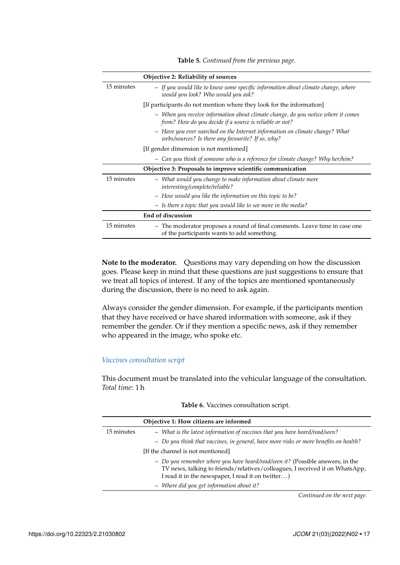|            | Objective 2: Reliability of sources                                                                                                          |
|------------|----------------------------------------------------------------------------------------------------------------------------------------------|
| 15 minutes | - If you would like to know some specific information about climate change, where<br>would you look? Who would you ask?                      |
|            | [If participants do not mention where they look for the information]                                                                         |
|            | - When you receive information about climate change, do you notice where it comes<br>from? How do you decide if a source is reliable or not? |
|            | - Have you ever searched on the Internet information on climate change? What<br>webs/sources? Is there any favourite? If so, why?            |
|            | [If gender dimension is not mentioned]                                                                                                       |
|            | Can you think of someone who is a reference for climate change? Why her/him?                                                                 |
|            | Objective 3: Proposals to improve scientific communication                                                                                   |
| 15 minutes | - What would you change to make information about climate more<br>interesting/complete/reliable?                                             |
|            | - How would you like the information on this topic to be?                                                                                    |
|            | - Is there a topic that you would like to see more in the media?                                                                             |
|            | End of discussion                                                                                                                            |
| 15 minutes | - The moderator proposes a round of final comments. Leave time in case one<br>of the participants wants to add something.                    |

**Table 5.** *Continued from the previous page.*

**Note to the moderator.** Questions may vary depending on how the discussion goes. Please keep in mind that these questions are just suggestions to ensure that we treat all topics of interest. If any of the topics are mentioned spontaneously during the discussion, there is no need to ask again.

Always consider the gender dimension. For example, if the participants mention that they have received or have shared information with someone, ask if they remember the gender. Or if they mention a specific news, ask if they remember who appeared in the image, who spoke etc.

### *Vaccines consultation script*

This document must be translated into the vehicular language of the consultation. *Total time*: 1 h

|            | Objective 1: How citizens are informed                                                                                                                                                                              |
|------------|---------------------------------------------------------------------------------------------------------------------------------------------------------------------------------------------------------------------|
| 15 minutes | - What is the latest information of vaccines that you have heard/read/seen?                                                                                                                                         |
|            | - Do you think that vaccines, in general, have more risks or more benefits on health?                                                                                                                               |
|            | [If the channel is not mentioned]                                                                                                                                                                                   |
|            | - Do you remember where you have heard/read/seen it? (Possible answers; in the<br>TV news, talking to friends/relatives/colleagues, I received it on WhatsApp,<br>I read it in the newspaper, I read it on twitter) |
|            | - Where did you get information about it?                                                                                                                                                                           |

**Table 6.** Vaccines consultation script.

*Continued on the next page.*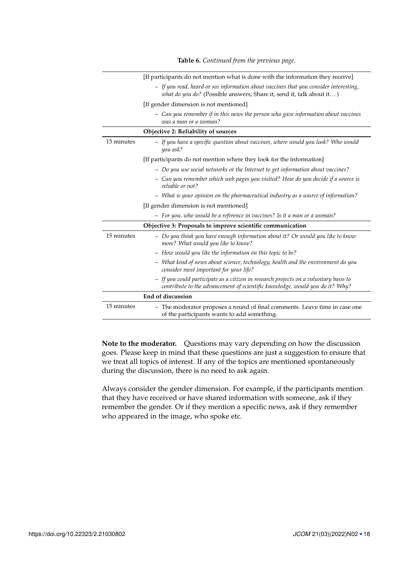|            | [If participants do not mention what is done with the information they receive]                                                                                      |
|------------|----------------------------------------------------------------------------------------------------------------------------------------------------------------------|
|            | - If you read, heard or see information about vaccines that you consider interesting,<br>what do you do? (Possible answers; Share it, send it, talk about it)        |
|            | [If gender dimension is not mentioned]                                                                                                                               |
|            | - Can you remember if in this news the person who gave information about vaccines<br>was a man or a woman?                                                           |
|            | Objective 2: Reliability of sources                                                                                                                                  |
| 15 minutes | - If you have a specific question about vaccines, where would you look? Who would<br>you ask?                                                                        |
|            | [If participants do not mention where they look for the information]                                                                                                 |
|            | - Do you use social networks or the Internet to get information about vaccines?                                                                                      |
|            | - Can you remember which web pages you visited? How do you decide if a source is<br>reliable or not?                                                                 |
|            | - What is your opinion on the pharmaceutical industry as a source of information?                                                                                    |
|            | [If gender dimension is not mentioned]                                                                                                                               |
|            | - For you, who would be a reference in vaccines? Is it a man or a woman?                                                                                             |
|            | Objective 3: Proposals to improve scientific communication                                                                                                           |
| 15 minutes | - Do you think you have enough information about it? Or would you like to know<br>more? What would you like to know?                                                 |
|            | - How would you like the information on this topic to be?                                                                                                            |
|            | - What kind of news about science, technology, health and the environment do you<br>consider most important for your life?                                           |
|            | - If you could participate as a citizen in research projects on a voluntary basis to<br>contribute to the advancement of scientific knowledge, would you do it? Why? |
|            | End of discussion                                                                                                                                                    |
| 15 minutes | - The moderator proposes a round of final comments. Leave time in case one<br>of the participants wants to add something.                                            |

**Table 6.** *Continued from the previous page.*

**Note to the moderator.** Questions may vary depending on how the discussion goes. Please keep in mind that these questions are just a suggestion to ensure that we treat all topics of interest. If any of the topics are mentioned spontaneously during the discussion, there is no need to ask again.

Always consider the gender dimension. For example, if the participants mention that they have received or have shared information with someone, ask if they remember the gender. Or if they mention a specific news, ask if they remember who appeared in the image, who spoke etc.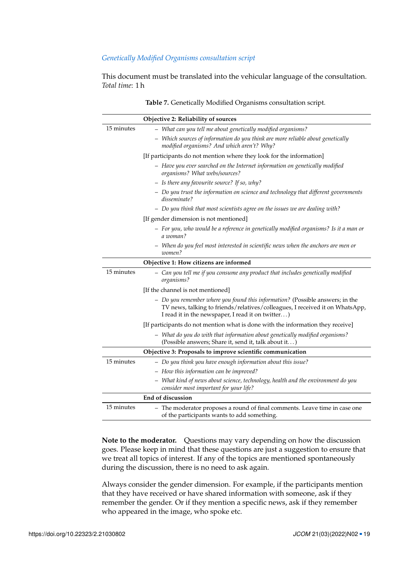#### *Genetically Modified Organisms consultation script*

This document must be translated into the vehicular language of the consultation. *Total time*: 1 h

|            | Objective 2: Reliability of sources                                                                                                                                                                                |
|------------|--------------------------------------------------------------------------------------------------------------------------------------------------------------------------------------------------------------------|
| 15 minutes | - What can you tell me about genetically modified organisms?                                                                                                                                                       |
|            | - Which sources of information do you think are more reliable about genetically<br>modified organisms? And which aren't? Why?                                                                                      |
|            | [If participants do not mention where they look for the information]                                                                                                                                               |
|            | - Have you ever searched on the Internet information on genetically modified<br>organisms? What webs/sources?                                                                                                      |
|            | - Is there any favourite source? If so, why?                                                                                                                                                                       |
|            | - Do you trust the information on science and technology that different governments<br>disseminate?                                                                                                                |
|            | - Do you think that most scientists agree on the issues we are dealing with?                                                                                                                                       |
|            | [If gender dimension is not mentioned]                                                                                                                                                                             |
|            | - For you, who would be a reference in genetically modified organisms? Is it a man or<br>a woman?                                                                                                                  |
|            | - When do you feel most interested in scientific news when the anchors are men or<br>women?                                                                                                                        |
|            | Objective 1: How citizens are informed                                                                                                                                                                             |
| 15 minutes | - Can you tell me if you consume any product that includes genetically modified<br>organisms?                                                                                                                      |
|            | [If the channel is not mentioned]                                                                                                                                                                                  |
|            | - Do you remember where you found this information? (Possible answers; in the<br>TV news, talking to friends/relatives/colleagues, I received it on WhatsApp,<br>I read it in the newspaper, I read it on twitter) |
|            | [If participants do not mention what is done with the information they receive]                                                                                                                                    |
|            | - What do you do with that information about genetically modified organisms?<br>(Possible answers; Share it, send it, talk about it)                                                                               |
|            | Objective 3: Proposals to improve scientific communication                                                                                                                                                         |
| 15 minutes | - Do you think you have enough information about this issue?                                                                                                                                                       |
|            | - How this information can be improved?                                                                                                                                                                            |
|            | - What kind of news about science, technology, health and the environment do you<br>consider most important for your life?                                                                                         |
|            | End of discussion                                                                                                                                                                                                  |
| 15 minutes | - The moderator proposes a round of final comments. Leave time in case one<br>of the participants wants to add something.                                                                                          |

**Table 7.** Genetically Modified Organisms consultation script.

**Note to the moderator.** Questions may vary depending on how the discussion goes. Please keep in mind that these questions are just a suggestion to ensure that we treat all topics of interest. If any of the topics are mentioned spontaneously during the discussion, there is no need to ask again.

Always consider the gender dimension. For example, if the participants mention that they have received or have shared information with someone, ask if they remember the gender. Or if they mention a specific news, ask if they remember who appeared in the image, who spoke etc.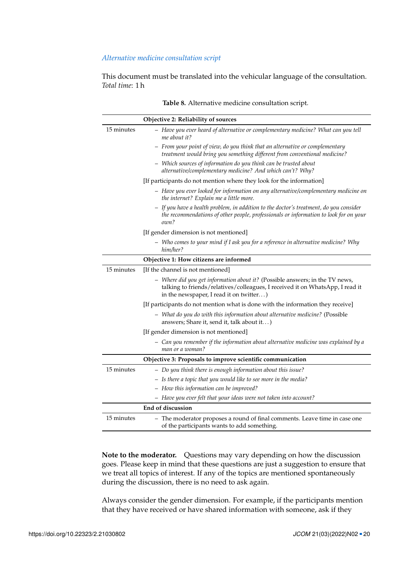#### *Alternative medicine consultation script*

This document must be translated into the vehicular language of the consultation. *Total time*: 1 h

|            | Objective 2: Reliability of sources                                                                                                                                                                      |
|------------|----------------------------------------------------------------------------------------------------------------------------------------------------------------------------------------------------------|
| 15 minutes | - Have you ever heard of alternative or complementary medicine? What can you tell<br>me about it?                                                                                                        |
|            | - From your point of view, do you think that an alternative or complementary<br>treatment would bring you something different from conventional medicine?                                                |
|            | - Which sources of information do you think can be trusted about<br>alternative/complementary medicine? And which can't? Why?                                                                            |
|            | [If participants do not mention where they look for the information]                                                                                                                                     |
|            | - Have you ever looked for information on any alternative/complementary medicine on<br>the internet? Explain me a little more.                                                                           |
|            | - If you have a health problem, in addition to the doctor's treatment, do you consider<br>the recommendations of other people, professionals or information to look for on your<br>own?                  |
|            | [If gender dimension is not mentioned]                                                                                                                                                                   |
|            | - Who comes to your mind if I ask you for a reference in alternative medicine? Why<br>him/her?                                                                                                           |
|            | Objective 1: How citizens are informed                                                                                                                                                                   |
| 15 minutes | [If the channel is not mentioned]                                                                                                                                                                        |
|            | - Where did you get information about it? (Possible answers; in the TV news,<br>talking to friends/relatives/colleagues, I received it on WhatsApp, I read it<br>in the newspaper, I read it on twitter) |
|            | [If participants do not mention what is done with the information they receive]                                                                                                                          |
|            | - What do you do with this information about alternative medicine? (Possible<br>answers; Share it, send it, talk about it)                                                                               |
|            | [If gender dimension is not mentioned]                                                                                                                                                                   |
|            | - Can you remember if the information about alternative medicine was explained by a<br>man or a woman?                                                                                                   |
|            | Objective 3: Proposals to improve scientific communication                                                                                                                                               |
| 15 minutes | - Do you think there is enough information about this issue?                                                                                                                                             |
|            | - Is there a topic that you would like to see more in the media?                                                                                                                                         |
|            | - How this information can be improved?                                                                                                                                                                  |
|            | - Have you ever felt that your ideas were not taken into account?                                                                                                                                        |
|            | <b>End of discussion</b>                                                                                                                                                                                 |
| 15 minutes | - The moderator proposes a round of final comments. Leave time in case one<br>of the participants wants to add something.                                                                                |

**Table 8.** Alternative medicine consultation script.

**Note to the moderator.** Questions may vary depending on how the discussion goes. Please keep in mind that these questions are just a suggestion to ensure that we treat all topics of interest. If any of the topics are mentioned spontaneously during the discussion, there is no need to ask again.

Always consider the gender dimension. For example, if the participants mention that they have received or have shared information with someone, ask if they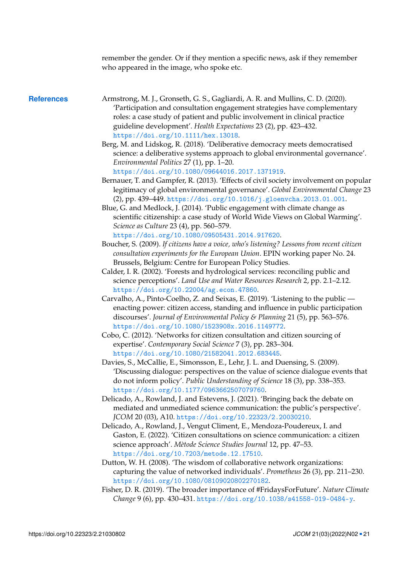<span id="page-20-12"></span><span id="page-20-11"></span><span id="page-20-10"></span><span id="page-20-9"></span><span id="page-20-8"></span><span id="page-20-7"></span><span id="page-20-6"></span><span id="page-20-5"></span><span id="page-20-4"></span><span id="page-20-3"></span><span id="page-20-2"></span><span id="page-20-1"></span><span id="page-20-0"></span>

|                   | remember the gender. Or if they mention a specific news, ask if they remember<br>who appeared in the image, who spoke etc.                                                                                                                                                                                                                                                                                                                                                                               |
|-------------------|----------------------------------------------------------------------------------------------------------------------------------------------------------------------------------------------------------------------------------------------------------------------------------------------------------------------------------------------------------------------------------------------------------------------------------------------------------------------------------------------------------|
| <b>References</b> | Armstrong, M. J., Gronseth, G. S., Gagliardi, A. R. and Mullins, C. D. (2020).<br>'Participation and consultation engagement strategies have complementary<br>roles: a case study of patient and public involvement in clinical practice<br>guideline development'. Health Expectations 23 (2), pp. 423-432.<br>https://doi.org/10.1111/hex.13018.                                                                                                                                                       |
|                   | Berg, M. and Lidskog, R. (2018). 'Deliberative democracy meets democratised<br>science: a deliberative systems approach to global environmental governance'.<br>Environmental Politics 27 (1), pp. 1-20.                                                                                                                                                                                                                                                                                                 |
|                   | https://doi.org/10.1080/09644016.2017.1371919.<br>Bernauer, T. and Gampfer, R. (2013). 'Effects of civil society involvement on popular<br>legitimacy of global environmental governance'. Global Environmental Change 23<br>(2), pp. 439-449. https://doi.org/10.1016/j.gloenvcha.2013.01.001.<br>Blue, G. and Medlock, J. (2014). 'Public engagement with climate change as<br>scientific citizenship: a case study of World Wide Views on Global Warming'.<br>Science as Culture 23 (4), pp. 560–579. |
|                   | https://doi.org/10.1080/09505431.2014.917620.<br>Boucher, S. (2009). If citizens have a voice, who's listening? Lessons from recent citizen<br>consultation experiments for the European Union. EPIN working paper No. 24.<br>Brussels, Belgium: Centre for European Policy Studies.                                                                                                                                                                                                                     |
|                   | Calder, I. R. (2002). 'Forests and hydrological services: reconciling public and<br>science perceptions'. Land Use and Water Resources Research 2, pp. 2.1–2.12.<br>https://doi.org/10.22004/ag.econ.47860.                                                                                                                                                                                                                                                                                              |
|                   | Carvalho, A., Pinto-Coelho, Z. and Seixas, E. (2019). 'Listening to the public —<br>enacting power: citizen access, standing and influence in public participation<br>discourses'. Journal of Environmental Policy & Planning 21 (5), pp. 563-576.<br>https://doi.org/10.1080/1523908x.2016.1149772.                                                                                                                                                                                                     |
|                   | Cobo, C. (2012). 'Networks for citizen consultation and citizen sourcing of<br>expertise'. Contemporary Social Science 7 (3), pp. 283-304.<br>https://doi.org/10.1080/21582041.2012.683445.                                                                                                                                                                                                                                                                                                              |
|                   | Davies, S., McCallie, E., Simonsson, E., Lehr, J. L. and Duensing, S. (2009).<br>'Discussing dialogue: perspectives on the value of science dialogue events that<br>do not inform policy'. Public Understanding of Science 18 (3), pp. 338-353.<br>https://doi.org/10.1177/0963662507079760.                                                                                                                                                                                                             |
|                   | Delicado, A., Rowland, J. and Estevens, J. (2021). 'Bringing back the debate on<br>mediated and unmediated science communication: the public's perspective'.<br>JCOM 20 (03), A10. https://doi.org/10.22323/2.20030210.                                                                                                                                                                                                                                                                                  |
|                   | Delicado, A., Rowland, J., Vengut Climent, E., Mendoza-Poudereux, I. and<br>Gaston, E. (2022). 'Citizen consultations on science communication: a citizen<br>science approach'. Mètode Science Studies Journal 12, pp. 47-53.<br>https://doi.org/10.7203/metode.12.17510.                                                                                                                                                                                                                                |
|                   | Dutton, W. H. (2008). 'The wisdom of collaborative network organizations:<br>capturing the value of networked individuals'. Prometheus 26 (3), pp. 211-230.<br>https://doi.org/10.1080/08109020802270182.                                                                                                                                                                                                                                                                                                |
|                   | Fisher, D. R. (2019). 'The broader importance of #FridaysForFuture'. Nature Climate<br>Change 9 (6), pp. 430-431. https://doi.org/10.1038/s41558-019-0484-y.                                                                                                                                                                                                                                                                                                                                             |
|                   |                                                                                                                                                                                                                                                                                                                                                                                                                                                                                                          |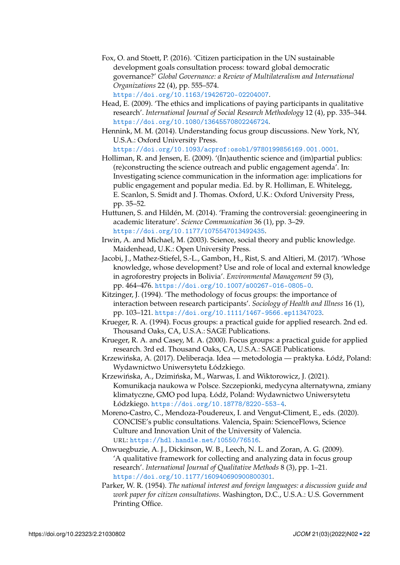<span id="page-21-13"></span>Fox, O. and Stoett, P. (2016). 'Citizen participation in the UN sustainable development goals consultation process: toward global democratic governance?' *Global Governance: a Review of Multilateralism and International Organizations* 22 (4), pp. 555–574.

<https://doi.org/10.1163/19426720-02204007>.

- <span id="page-21-9"></span>Head, E. (2009). 'The ethics and implications of paying participants in qualitative research'. *International Journal of Social Research Methodology* 12 (4), pp. 335–344. <https://doi.org/10.1080/13645570802246724>.
- <span id="page-21-5"></span>Hennink, M. M. (2014). Understanding focus group discussions. New York, NY, U.S.A.: Oxford University Press.

<https://doi.org/10.1093/acprof:osobl/9780199856169.001.0001>.

- <span id="page-21-14"></span>Holliman, R. and Jensen, E. (2009). '(In)authentic science and (im)partial publics: (re)constructing the science outreach and public engagement agenda'. In: Investigating science communication in the information age: implications for public engagement and popular media. Ed. by R. Holliman, E. Whitelegg, E. Scanlon, S. Smidt and J. Thomas. Oxford, U.K.: Oxford University Press, pp. 35–52.
- <span id="page-21-0"></span>Huttunen, S. and Hildén, M. (2014). 'Framing the controversial: geoengineering in academic literature'. *Science Communication* 36 (1), pp. 3–29. <https://doi.org/10.1177/1075547013492435>.
- <span id="page-21-1"></span>Irwin, A. and Michael, M. (2003). Science, social theory and public knowledge. Maidenhead, U.K.: Open University Press.
- <span id="page-21-2"></span>Jacobi, J., Mathez-Stiefel, S.-L., Gambon, H., Rist, S. and Altieri, M. (2017). 'Whose knowledge, whose development? Use and role of local and external knowledge in agroforestry projects in Bolivia'. *Environmental Management* 59 (3), pp. 464–476. <https://doi.org/10.1007/s00267-016-0805-0>.
- <span id="page-21-8"></span>Kitzinger, J. (1994). 'The methodology of focus groups: the importance of interaction between research participants'. *Sociology of Health and Illness* 16 (1), pp. 103–121. <https://doi.org/10.1111/1467-9566.ep11347023>.
- <span id="page-21-11"></span>Krueger, R. A. (1994). Focus groups: a practical guide for applied research. 2nd ed. Thousand Oaks, CA, U.S.A.: SAGE Publications.
- <span id="page-21-6"></span>Krueger, R. A. and Casey, M. A. (2000). Focus groups: a practical guide for applied research. 3rd ed. Thousand Oaks, CA, U.S.A.: SAGE Publications.
- <span id="page-21-10"></span>Krzewińska, A. (2017). Deliberacja. Idea — metodologia — praktyka. Łódź, Poland: Wydawnictwo Uniwersytetu Łódzkiego.
- <span id="page-21-4"></span>Krzewińska, A., Dzimińska, M., Warwas, I. and Wiktorowicz, J. (2021). Komunikacja naukowa w Polsce. Szczepionki, medycyna alternatywna, zmiany klimatyczne, GMO pod lupą. Łódź, Poland: Wydawnictwo Uniwersytetu Łódzkiego. <https://doi.org/10.18778/8220-553-4>.

<span id="page-21-3"></span>Moreno-Castro, C., Mendoza-Poudereux, I. and Vengut-Climent, E., eds. (2020). CONCISE's public consultations. Valencia, Spain: ScienceFlows, Science Culture and Innovation Unit of the University of Valencia. URL: <https://hdl.handle.net/10550/76516>.

- <span id="page-21-7"></span>Onwuegbuzie, A. J., Dickinson, W. B., Leech, N. L. and Zoran, A. G. (2009). 'A qualitative framework for collecting and analyzing data in focus group research'. *International Journal of Qualitative Methods* 8 (3), pp. 1–21. <https://doi.org/10.1177/160940690900800301>.
- <span id="page-21-12"></span>Parker, W. R. (1954). *The national interest and foreign languages: a discussion guide and work paper for citizen consultations*. Washington, D.C., U.S.A.: U.S. Government Printing Office.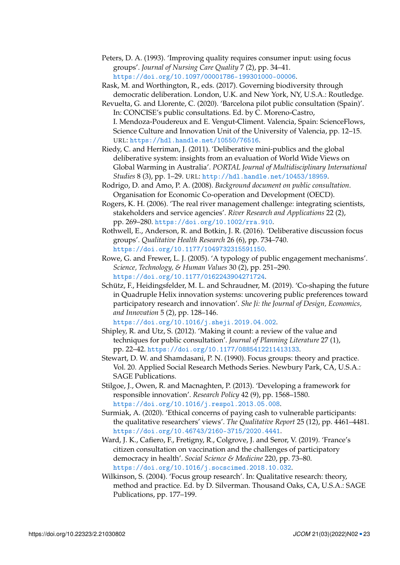- <span id="page-22-11"></span>Peters, D. A. (1993). 'Improving quality requires consumer input: using focus groups'. *Journal of Nursing Care Quality* 7 (2), pp. 34–41. <https://doi.org/10.1097/00001786-199301000-00006>.
- <span id="page-22-6"></span>Rask, M. and Worthington, R., eds. (2017). Governing biodiversity through democratic deliberation. London, U.K. and New York, NY, U.S.A.: Routledge.
- <span id="page-22-14"></span>Revuelta, G. and Llorente, C. (2020). 'Barcelona pilot public consultation (Spain)'. In: CONCISE's public consultations. Ed. by C. Moreno-Castro, I. Mendoza-Poudereux and E. Vengut-Climent. Valencia, Spain: ScienceFlows, Science Culture and Innovation Unit of the University of Valencia, pp. 12–15. URL: <https://hdl.handle.net/10550/76516>.
- <span id="page-22-7"></span>Riedy, C. and Herriman, J. (2011). 'Deliberative mini-publics and the global deliberative system: insights from an evaluation of World Wide Views on Global Warming in Australia'. *PORTAL Journal of Multidisciplinary International Studies* 8 (3), pp. 1–29. URL: <http://hdl.handle.net/10453/18959>.
- <span id="page-22-5"></span>Rodrigo, D. and Amo, P. A. (2008). *Background document on public consultation*. Organisation for Economic Co-operation and Development (OECD).
- <span id="page-22-3"></span>Rogers, K. H. (2006). 'The real river management challenge: integrating scientists, stakeholders and service agencies'. *River Research and Applications* 22 (2), pp. 269–280. <https://doi.org/10.1002/rra.910>.
- <span id="page-22-8"></span>Rothwell, E., Anderson, R. and Botkin, J. R. (2016). 'Deliberative discussion focus groups'. *Qualitative Health Research* 26 (6), pp. 734–740. <https://doi.org/10.1177/1049732315591150>.
- <span id="page-22-4"></span>Rowe, G. and Frewer, L. J. (2005). 'A typology of public engagement mechanisms'. *Science, Technology, & Human Values* 30 (2), pp. 251–290. <https://doi.org/10.1177/0162243904271724>.
- <span id="page-22-1"></span>Schütz, F., Heidingsfelder, M. L. and Schraudner, M. (2019). 'Co-shaping the future in Quadruple Helix innovation systems: uncovering public preferences toward participatory research and innovation'. *She Ji: the Journal of Design, Economics, and Innovation* 5 (2), pp. 128–146.

<https://doi.org/10.1016/j.sheji.2019.04.002>.

- <span id="page-22-9"></span>Shipley, R. and Utz, S. (2012). 'Making it count: a review of the value and techniques for public consultation'. *Journal of Planning Literature* 27 (1), pp. 22–42. <https://doi.org/10.1177/0885412211413133>.
- <span id="page-22-12"></span>Stewart, D. W. and Shamdasani, P. N. (1990). Focus groups: theory and practice. Vol. 20. Applied Social Research Methods Series. Newbury Park, CA, U.S.A.: SAGE Publications.
- <span id="page-22-0"></span>Stilgoe, J., Owen, R. and Macnaghten, P. (2013). 'Developing a framework for responsible innovation'. *Research Policy* 42 (9), pp. 1568–1580. <https://doi.org/10.1016/j.respol.2013.05.008>.
- <span id="page-22-13"></span>Surmiak, A. (2020). 'Ethical concerns of paying cash to vulnerable participants: the qualitative researchers' views'. *The Qualitative Report* 25 (12), pp. 4461–4481. <https://doi.org/10.46743/2160-3715/2020.4441>.
- <span id="page-22-2"></span>Ward, J. K., Cafiero, F., Fretigny, R., Colgrove, J. and Seror, V. (2019). 'France's citizen consultation on vaccination and the challenges of participatory democracy in health'. *Social Science & Medicine* 220, pp. 73–80. <https://doi.org/10.1016/j.socscimed.2018.10.032>.
- <span id="page-22-10"></span>Wilkinson, S. (2004). 'Focus group research'. In: Qualitative research: theory, method and practice. Ed. by D. Silverman. Thousand Oaks, CA, U.S.A.: SAGE Publications, pp. 177–199.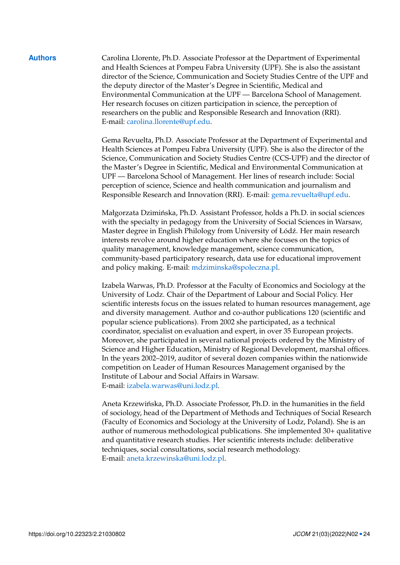**Authors** Carolina Llorente, Ph.D. Associate Professor at the Department of Experimental and Health Sciences at Pompeu Fabra University (UPF). She is also the assistant director of the Science, Communication and Society Studies Centre of the UPF and the deputy director of the Master's Degree in Scientific, Medical and Environmental Communication at the UPF — Barcelona School of Management. Her research focuses on citizen participation in science, the perception of researchers on the public and Responsible Research and Innovation (RRI). E-mail: [carolina.llorente@upf.edu.](mailto:carolina.llorente@upf.edu)

> Gema Revuelta, Ph.D. Associate Professor at the Department of Experimental and Health Sciences at Pompeu Fabra University (UPF). She is also the director of the Science, Communication and Society Studies Centre (CCS-UPF) and the director of the Master's Degree in Scientific, Medical and Environmental Communication at UPF — Barcelona School of Management. Her lines of research include: Social perception of science, Science and health communication and journalism and Responsible Research and Innovation (RRI). E-mail: [gema.revuelta@upf.edu.](mailto:gema.revuelta@upf.edu)

Małgorzata Dzimińska, Ph.D. Assistant Professor, holds a Ph.D. in social sciences with the specialty in pedagogy from the University of Social Sciences in Warsaw, Master degree in English Philology from University of Łódź. Her main research interests revolve around higher education where she focuses on the topics of quality management, knowledge management, science communication, community-based participatory research, data use for educational improvement and policy making. E-mail: [mdziminska@spoleczna.pl.](mailto:mdziminska@spoleczna.pl)

Izabela Warwas, Ph.D. Professor at the Faculty of Economics and Sociology at the University of Lodz. Chair of the Department of Labour and Social Policy. Her scientific interests focus on the issues related to human resources management, age and diversity management. Author and co-author publications 120 (scientific and popular science publications). From 2002 she participated, as a technical coordinator, specialist on evaluation and expert, in over 35 European projects. Moreover, she participated in several national projects ordered by the Ministry of Science and Higher Education, Ministry of Regional Development, marshal offices. In the years 2002–2019, auditor of several dozen companies within the nationwide competition on Leader of Human Resources Management organised by the Institute of Labour and Social Affairs in Warsaw. E-mail: [izabela.warwas@uni.lodz.pl.](mailto:izabela.warwas@uni.lodz.pl)

Aneta Krzewińska, Ph.D. Associate Professor, Ph.D. in the humanities in the field of sociology, head of the Department of Methods and Techniques of Social Research (Faculty of Economics and Sociology at the University of Lodz, Poland). She is an author of numerous methodological publications. She implemented 30+ qualitative and quantitative research studies. Her scientific interests include: deliberative techniques, social consultations, social research methodology. E-mail: [aneta.krzewinska@uni.lodz.pl.](mailto:aneta.krzewinska@uni.lodz.pl)